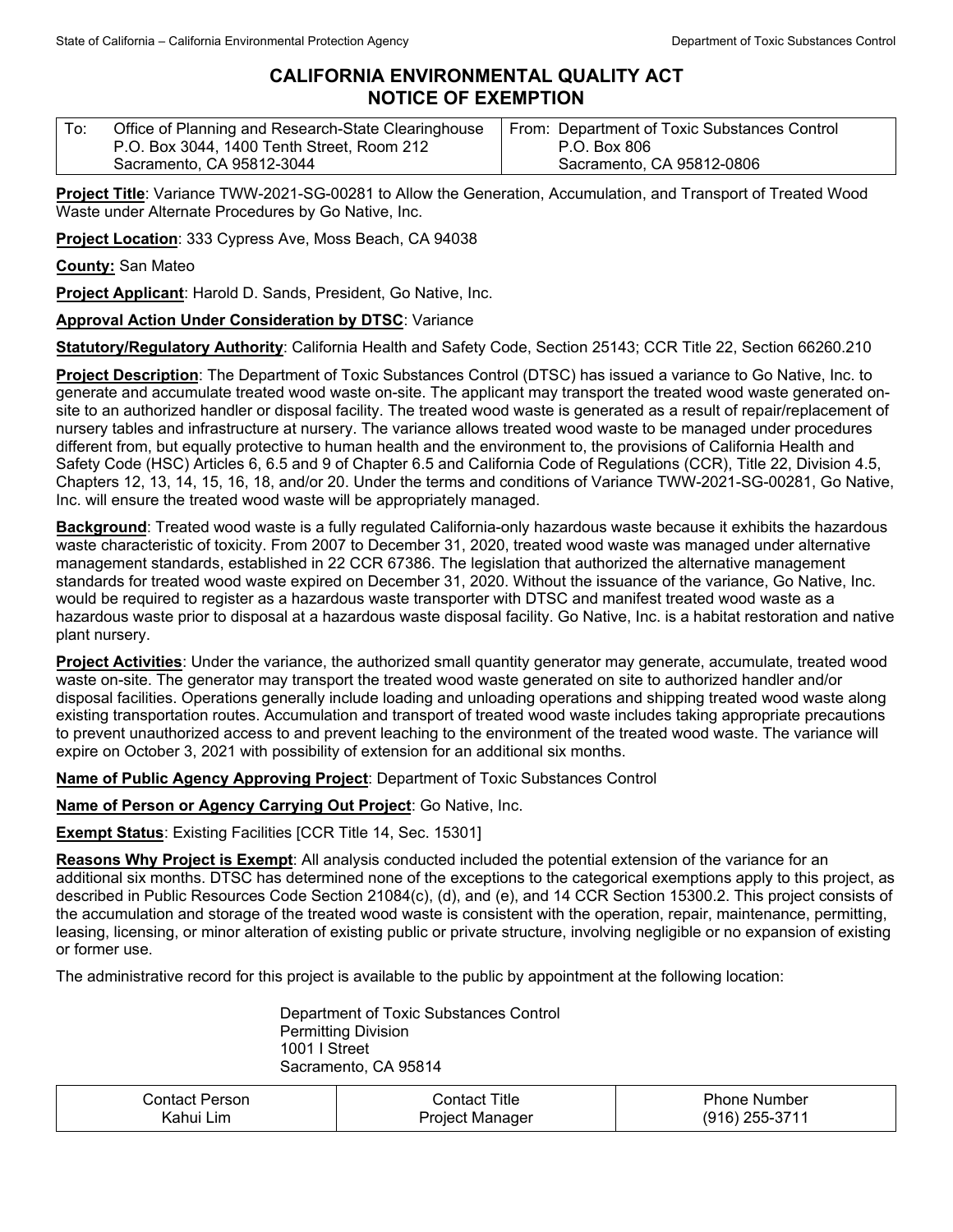## **CALIFORNIA ENVIRONMENTAL QUALITY ACT NOTICE OF EXEMPTION**

| To: | Office of Planning and Research-State Clearinghouse | From: Department of Toxic Substances Control |
|-----|-----------------------------------------------------|----------------------------------------------|
|     | P.O. Box 3044, 1400 Tenth Street, Room 212          | P.O. Box 806                                 |
|     | Sacramento, CA 95812-3044                           | Sacramento, CA 95812-0806                    |

**Project Title**: Variance TWW-2021-SG-00281 to Allow the Generation, Accumulation, and Transport of Treated Wood Waste under Alternate Procedures by Go Native, Inc.

**Project Location**: 333 Cypress Ave, Moss Beach, CA 94038

**County:** San Mateo

**Project Applicant**: Harold D. Sands, President, Go Native, Inc.

## **Approval Action Under Consideration by DTSC**: Variance

**Statutory/Regulatory Authority**: California Health and Safety Code, Section 25143; CCR Title 22, Section 66260.210

**Project Description**: The Department of Toxic Substances Control (DTSC) has issued a variance to Go Native, Inc. to generate and accumulate treated wood waste on-site. The applicant may transport the treated wood waste generated onsite to an authorized handler or disposal facility. The treated wood waste is generated as a result of repair/replacement of nursery tables and infrastructure at nursery. The variance allows treated wood waste to be managed under procedures different from, but equally protective to human health and the environment to, the provisions of California Health and Safety Code (HSC) Articles 6, 6.5 and 9 of Chapter 6.5 and California Code of Regulations (CCR), Title 22, Division 4.5, Chapters 12, 13, 14, 15, 16, 18, and/or 20. Under the terms and conditions of Variance TWW-2021-SG-00281, Go Native, Inc. will ensure the treated wood waste will be appropriately managed.

**Background**: Treated wood waste is a fully regulated California-only hazardous waste because it exhibits the hazardous waste characteristic of toxicity. From 2007 to December 31, 2020, treated wood waste was managed under alternative management standards, established in 22 CCR 67386. The legislation that authorized the alternative management standards for treated wood waste expired on December 31, 2020. Without the issuance of the variance, Go Native, Inc. would be required to register as a hazardous waste transporter with DTSC and manifest treated wood waste as a hazardous waste prior to disposal at a hazardous waste disposal facility. Go Native, Inc. is a habitat restoration and native plant nursery.

**Project Activities**: Under the variance, the authorized small quantity generator may generate, accumulate, treated wood waste on-site. The generator may transport the treated wood waste generated on site to authorized handler and/or disposal facilities. Operations generally include loading and unloading operations and shipping treated wood waste along existing transportation routes. Accumulation and transport of treated wood waste includes taking appropriate precautions to prevent unauthorized access to and prevent leaching to the environment of the treated wood waste. The variance will expire on October 3, 2021 with possibility of extension for an additional six months.

**Name of Public Agency Approving Project**: Department of Toxic Substances Control

**Name of Person or Agency Carrying Out Project**: Go Native, Inc.

**Exempt Status**: Existing Facilities [CCR Title 14, Sec. 15301]

**Reasons Why Project is Exempt**: All analysis conducted included the potential extension of the variance for an additional six months. DTSC has determined none of the exceptions to the categorical exemptions apply to this project, as described in Public Resources Code Section 21084(c), (d), and (e), and 14 CCR Section 15300.2. This project consists of the accumulation and storage of the treated wood waste is consistent with the operation, repair, maintenance, permitting, leasing, licensing, or minor alteration of existing public or private structure, involving negligible or no expansion of existing or former use.

The administrative record for this project is available to the public by appointment at the following location:

Department of Toxic Substances Control Permitting Division 1001 I Street Sacramento, CA 95814

| Contact Person | Title<br>شchtact | rhone ا<br>. Number |
|----------------|------------------|---------------------|
| Lim            | Project          | 255-3711            |
| Kahu⊩          | Manager          | (916)               |